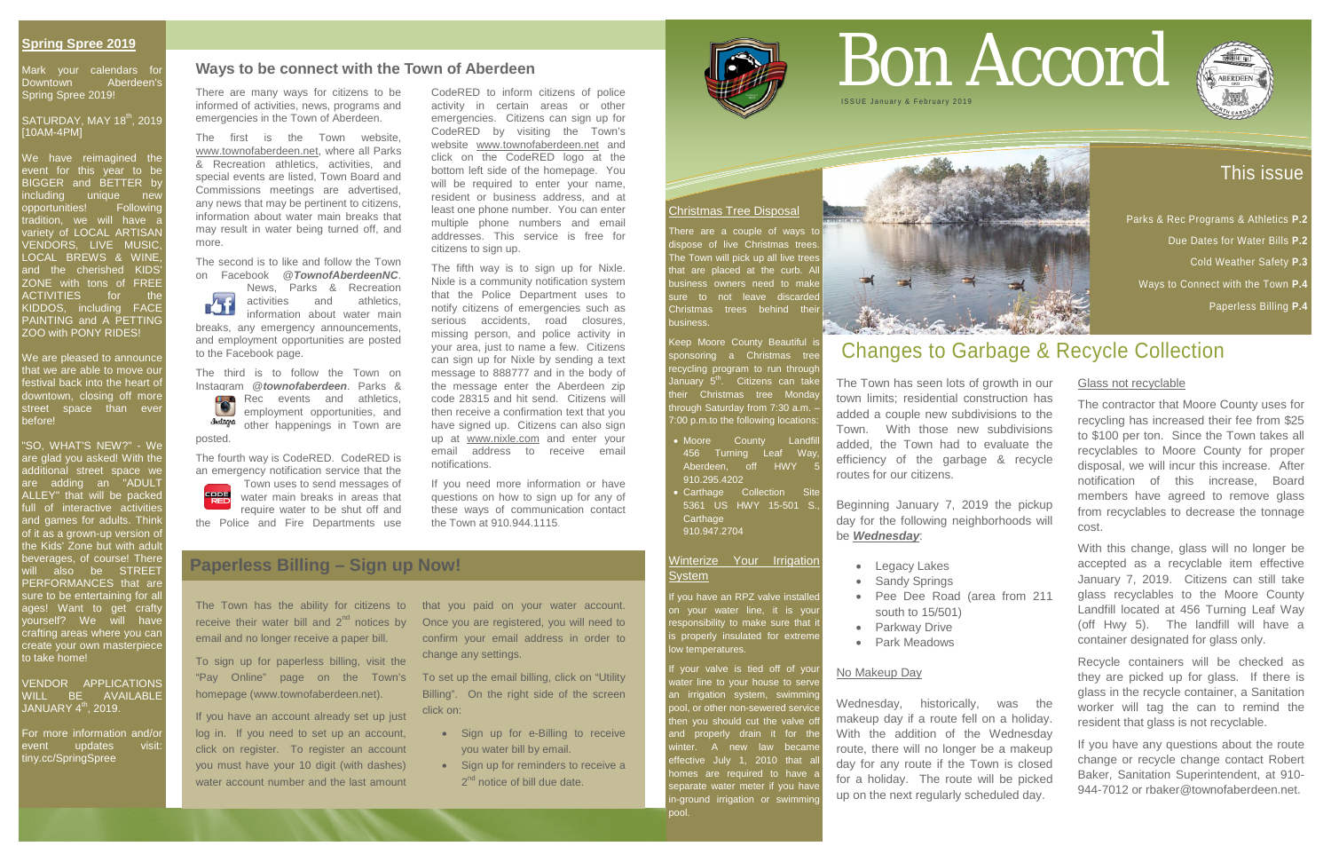## This issue

Parks & Rec Programs & Athletics **P.2**

Due Dates for Water Bills **P.2** 

Cold Weather Safety **P.3**

Mark your calendars for Downtown Aberdeen's Spring Spree 2019!

Ways to Connect with the Town **P.4**

#### SATURDAY, MAY 18<sup>th</sup>, 2019 [10AM-4PM]

Paperless Billing **P.4**

#### **Spring Spree 2019**

We have reimagined the event for this year to be BIGGER and BETTER by ncluding unique new opportunities! Following tradition, we will have a variety of LOCAL ARTISAN VENDORS, LIVE MUSIC, LOCAL BREWS & WINE and the cherished KIDS ZONE with tons of FREE ACTIVITIES for the KIDDOS, including FACE PAINTING and A PETTING ZOO with PONY RIDES!

#### VENDOR APPLICATIONS WILL BE AVAILABLE JANUARY  $4^{\text{th}}$ , 2019.

We are pleased to announce that we are able to move our festival back into the heart of downtown, closing off more street space than ever before!

There are a couple of ways to dispose of live Christmas trees. The Town will pick up all live trees that are placed at the curb. A business owners need to make sure to not leave discarded Christmas trees behind thei business.

Keep Moore County Beautiful is sponsoring a Christmas tree recycling program to run throug<mark>h</mark> January 5<sup>th</sup>. Citizens can take their Christmas tree Monda hrough Saturday from 7:30 a.m. 7:00 p.m.to the following locations:

- Moore County Landfil 456 Turning Leaf Way, Aberdeen, off HWY 910.295.4202
- **Carthage Collection Site** 5361 US HWY 15-501 S., **Carthage** 910.947.2704

#### Winterize Your Irrigation **System**

I you have an RPZ valve installe on your water line, it is your responsibility to make sure that it s properly insulated for extreme ow temperatures.

"SO, WHAT'S NEW?" - We are glad you asked! With the additional street space we are adding an "<u>ADULT</u> ALLEY" that will be packed full of interactive activities and games for adults. Think of it as a grown-up version of the Kids' Zone but with adult beverages, of course! There will also be STREET PERFORMANCES that are sure to be entertaining for al ages! Want to get crafty yourself? We will have crafting areas where you can create your own masterpiece to take home!

# Bon Accord **ISSUE January & February 20**

For more information and/or event updates tiny.cc/SpringSpree

#### Christmas Tree Disposal

If your valve is tied off of your vater line to your house to serve an irrigation system, swimming pool, or other non-sewered service then you should cut the valve of and properly drain it for the winter. A new law became effective July 1, 2010 that al homes are required to have a separate water meter if you have n-ground irrigation or swimming pool.



- Sign up for e-Billing to receive you water bill by email.
- Sign up for reminders to receive a 2<sup>nd</sup> notice of bill due date.



## Changes to Garbage & Recycle Collection

The Town has seen lots of growth in our town limits; residential construction has added a couple new subdivisions to the Town. With those new subdivisions added, the Town had to evaluate the efficiency of the garbage & recycle routes for our citizens.

Beginning January 7, 2019 the pickup day for the following neighborhoods will be *Wednesday*:

- Legacy Lakes
- Sandy Springs
- Pee Dee Road (area from 211 south to 15/501)
- Parkway Drive
- Park Meadows

#### No Makeup Day

Town uses to send messages of water main breaks in areas that require water to be shut off and the Police and Fire Departments use

> Wednesday, historically, was the makeup day if a route fell on a holiday. With the addition of the Wednesday route, there will no longer be a makeup day for any route if the Town is closed for a holiday. The route will be picked up on the next regularly scheduled day.



### Glass not recyclable

The contractor that Moore County uses for recycling has increased their fee from \$25 to \$100 per ton. Since the Town takes all recyclables to Moore County for proper disposal, we will incur this increase. After notification of this increase, Board members have agreed to remove glass from recyclables to decrease the tonnage cost.

With this change, glass will no longer be accepted as a recyclable item effective January 7, 2019. Citizens can still take glass recyclables to the Moore County Landfill located at 456 Turning Leaf Way (off Hwy 5). The landfill will have a container designated for glass only.

Recycle containers will be checked as they are picked up for glass. If there is glass in the recycle container, a Sanitation worker will tag the can to remind the resident that glass is not recyclable.

If you have any questions about the route change or recycle change contact Robert Baker, Sanitation Superintendent, at 910- 944-7012 or rbaker@townofaberdeen.net.

## **Paperless Billing – Sign up Now!**

The Town has the ability for citizens to that you paid on your water account. receive their water bill and  $2<sup>nd</sup>$  notices by email and no longer receive a paper bill.

To sign up for paperless billing, visit the "Pay Online" page on the Town's homepage (www.townofaberdeen.net).

If you have an account already set up just log in. If you need to set up an account, click on register. To register an account you must have your 10 digit (with dashes) water account number and the last amount Once you are registered, you will need to confirm your email address in order to change any settings.

To set up the email billing, click on "Utility Billing". On the right side of the screen click on:

There are many ways for citizens to be informed of activities, news, programs and emergencies in the Town of Aberdeen.

The first is the Town website, [www.townofaberdeen.net,](http://www.townofaberdeen.net/) where all Parks & Recreation athletics, activities, and special events are listed, Town Board and Commissions meetings are advertised, any news that may be pertinent to citizens, information about water main breaks that may result in water being turned off, and more.

The second is to like and follow the Town on Facebook @*TownofAberdeenNC*.

 News, Parks & Recreation  $\sum_{i=1}^{n}$  activities and athletics, information about water main breaks, any emergency announcements, and employment opportunities are posted to the Facebook page.

The third is to follow the Town on Instagram @*townofaberdeen*. Parks & Rec events and athletics, employment opportunities, and **Justagra** other happenings in Town are posted.

The fourth way is CodeRED. CodeRED is an emergency notification service that the CodeRED to inform citizens of police activity in certain areas or other emergencies. Citizens can sign up for CodeRED by visiting the Town's website [www.townofaberdeen.net](http://www.townofaberdeen.net/) and click on the CodeRED logo at the bottom left side of the homepage. You will be required to enter your name, resident or business address, and at least one phone number. You can enter multiple phone numbers and email addresses. This service is free for citizens to sign up.

The fifth way is to sign up for Nixle. Nixle is a community notification system that the Police Department uses to notify citizens of emergencies such as serious accidents, road closures, missing person, and police activity in your area, just to name a few. Citizens can sign up for Nixle by sending a text message to 888777 and in the body of the message enter the Aberdeen zip code 28315 and hit send. Citizens will then receive a confirmation text that you have signed up. Citizens can also sign up at [www.nixle.com](http://www.nixle.com/) and enter your email address to receive email notifications.

If you need more information or have questions on how to sign up for any of these ways of communication contact the Town at 910.944.1115.

### **Ways to be connect with the Town of Aberdeen**